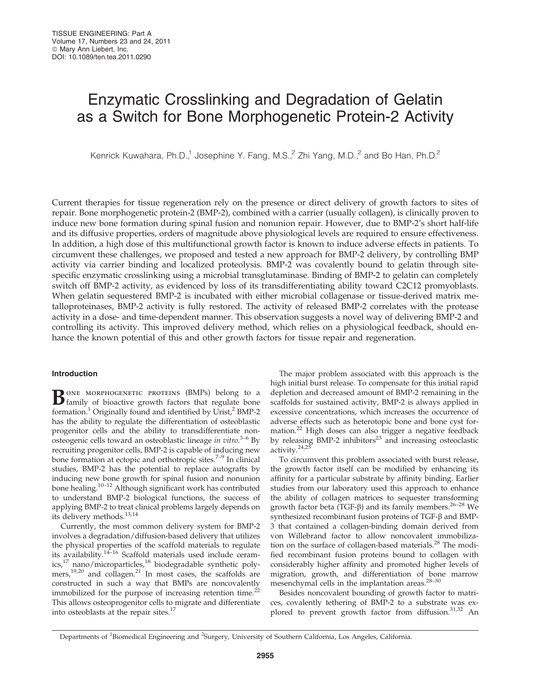# Enzymatic Crosslinking and Degradation of Gelatin as a Switch for Bone Morphogenetic Protein-2 Activity

Kenrick Kuwahara, Ph.D.,<sup>1</sup> Josephine Y. Fang, M.S.,<sup>2</sup> Zhi Yang, M.D.,<sup>2</sup> and Bo Han, Ph.D.<sup>2</sup>

Current therapies for tissue regeneration rely on the presence or direct delivery of growth factors to sites of repair. Bone morphogenetic protein-2 (BMP-2), combined with a carrier (usually collagen), is clinically proven to induce new bone formation during spinal fusion and nonunion repair. However, due to BMP-2's short half-life and its diffusive properties, orders of magnitude above physiological levels are required to ensure effectiveness. In addition, a high dose of this multifunctional growth factor is known to induce adverse effects in patients. To circumvent these challenges, we proposed and tested a new approach for BMP-2 delivery, by controlling BMP activity via carrier binding and localized proteolysis. BMP-2 was covalently bound to gelatin through sitespecific enzymatic crosslinking using a microbial transglutaminase. Binding of BMP-2 to gelatin can completely switch off BMP-2 activity, as evidenced by loss of its transdifferentiating ability toward C2C12 promyoblasts. When gelatin sequestered BMP-2 is incubated with either microbial collagenase or tissue-derived matrix metalloproteinases, BMP-2 activity is fully restored. The activity of released BMP-2 correlates with the protease activity in a dose- and time-dependent manner. This observation suggests a novel way of delivering BMP-2 and controlling its activity. This improved delivery method, which relies on a physiological feedback, should enhance the known potential of this and other growth factors for tissue repair and regeneration.

# Introduction

 $\mathbf{B}$  one morphogenetic proteins (BMPs) belong to a family of bioactive growth factors that regulate bone formation.<sup>1</sup> Originally found and identified by Urist, $^2$  BMP-2 has the ability to regulate the differentiation of osteoblastic progenitor cells and the ability to transdifferentiate nonosteogenic cells toward an osteoblastic lineage in vitro.<sup>3-6</sup> By recruiting progenitor cells, BMP-2 is capable of inducing new bone formation at ectopic and orthotropic sites.<sup>7-9</sup> In clinical studies, BMP-2 has the potential to replace autografts by inducing new bone growth for spinal fusion and nonunion bone healing.10–12 Although significant work has contributed to understand BMP-2 biological functions, the success of applying BMP-2 to treat clinical problems largely depends on its delivery methods.13,14

Currently, the most common delivery system for BMP-2 involves a degradation/diffusion-based delivery that utilizes the physical properties of the scaffold materials to regulate its availability. $14-16$  Scaffold materials used include ceramics,<sup>17</sup> nano/microparticles,<sup>18</sup> biodegradable synthetic polymers,<sup>19,20</sup> and collagen.<sup>21</sup> In most cases, the scaffolds are constructed in such a way that BMPs are noncovalently immobilized for the purpose of increasing retention time.<sup>22</sup> This allows osteoprogenitor cells to migrate and differentiate into osteoblasts at the repair sites.<sup>17</sup>

The major problem associated with this approach is the high initial burst release. To compensate for this initial rapid depletion and decreased amount of BMP-2 remaining in the scaffolds for sustained activity, BMP-2 is always applied in excessive concentrations, which increases the occurrence of adverse effects such as heterotopic bone and bone cyst formation.<sup>22</sup> High doses can also trigger a negative feedback by releasing BMP-2 inhibitors<sup>23</sup> and increasing osteoclastic activity.<sup>24,25</sup>

To circumvent this problem associated with burst release, the growth factor itself can be modified by enhancing its affinity for a particular substrate by affinity binding. Earlier studies from our laboratory used this approach to enhance the ability of collagen matrices to sequester transforming growth factor beta (TGF- $\beta$ ) and its family members.<sup>26-28</sup> We synthesized recombinant fusion proteins of TGF- $\beta$  and BMP-3 that contained a collagen-binding domain derived from von Willebrand factor to allow noncovalent immobilization on the surface of collagen-based materials.<sup>28</sup> The modified recombinant fusion proteins bound to collagen with considerably higher affinity and promoted higher levels of migration, growth, and differentiation of bone marrow mesenchymal cells in the implantation areas.28–30

Besides noncovalent bounding of growth factor to matrices, covalently tethering of BMP-2 to a substrate was explored to prevent growth factor from diffusion.<sup>31,32</sup> An

Departments of <sup>1</sup>Biomedical Engineering and <sup>2</sup>Surgery, University of Southern California, Los Angeles, California.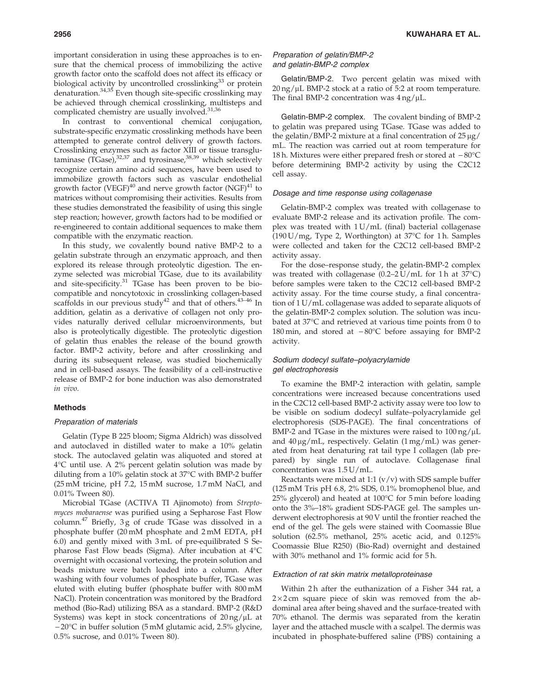important consideration in using these approaches is to ensure that the chemical process of immobilizing the active growth factor onto the scaffold does not affect its efficacy or biological activity by uncontrolled crosslinking $33$  or protein denaturation.34,35 Even though site-specific crosslinking may be achieved through chemical crosslinking, multisteps and complicated chemistry are usually involved.<sup>31,36</sup>

In contrast to conventional chemical conjugation, substrate-specific enzymatic crosslinking methods have been attempted to generate control delivery of growth factors. Crosslinking enzymes such as factor XIII or tissue transglutaminase  $(T\text{Gase})$ ,  $32,37$  and tyrosinase,  $38,39$  which selectively recognize certain amino acid sequences, have been used to immobilize growth factors such as vascular endothelial growth factor (VEGF)<sup>40</sup> and nerve growth factor (NGF)<sup>41</sup> to matrices without compromising their activities. Results from these studies demonstrated the feasibility of using this single step reaction; however, growth factors had to be modified or re-engineered to contain additional sequences to make them compatible with the enzymatic reaction.

In this study, we covalently bound native BMP-2 to a gelatin substrate through an enzymatic approach, and then explored its release through proteolytic digestion. The enzyme selected was microbial TGase, due to its availability and site-specificity.<sup>31</sup> TGase has been proven to be biocompatible and noncytotoxic in crosslinking collagen-based scaffolds in our previous study<sup>42</sup> and that of others.<sup>43-46</sup> In addition, gelatin as a derivative of collagen not only provides naturally derived cellular microenvironments, but also is proteolytically digestible. The proteolytic digestion of gelatin thus enables the release of the bound growth factor. BMP-2 activity, before and after crosslinking and during its subsequent release, was studied biochemically and in cell-based assays. The feasibility of a cell-instructive release of BMP-2 for bone induction was also demonstrated in vivo.

#### Methods

#### Preparation of materials

Gelatin (Type B 225 bloom; Sigma Aldrich) was dissolved and autoclaved in distilled water to make a 10% gelatin stock. The autoclaved gelatin was aliquoted and stored at 4-C until use. A 2% percent gelatin solution was made by diluting from a 10% gelatin stock at 37°C with BMP-2 buffer (25 mM tricine, pH 7.2, 15 mM sucrose, 1.7 mM NaCl, and 0.01% Tween 80).

Microbial TGase (ACTIVA TI Ajinomoto) from Streptomyces mobaraense was purified using a Sepharose Fast Flow column. $47$  Briefly, 3g of crude TGase was dissolved in a phosphate buffer (20 mM phosphate and 2 mM EDTA, pH 6.0) and gently mixed with 3 mL of pre-equilibrated S Sepharose Fast Flow beads (Sigma). After incubation at 4°C overnight with occasional vortexing, the protein solution and beads mixture were batch loaded into a column. After washing with four volumes of phosphate buffer, TGase was eluted with eluting buffer (phosphate buffer with 800 mM NaCl). Protein concentration was monitored by the Bradford method (Bio-Rad) utilizing BSA as a standard. BMP-2 (R&D Systems) was kept in stock concentrations of  $20 \text{ ng}/\mu\text{L}$  at -20°C in buffer solution (5 mM glutamic acid, 2.5% glycine, 0.5% sucrose, and 0.01% Tween 80).

# Preparation of gelatin/BMP-2 and gelatin-BMP-2 complex

Gelatin/BMP-2. Two percent gelatin was mixed with  $20$  ng/ $\mu$ L BMP-2 stock at a ratio of 5:2 at room temperature. The final BMP-2 concentration was  $4 \frac{ng}{\mu}$ .

Gelatin-BMP-2 complex. The covalent binding of BMP-2 to gelatin was prepared using TGase. TGase was added to the gelatin/BMP-2 mixture at a final concentration of  $25 \mu g$ / mL. The reaction was carried out at room temperature for 18 h. Mixtures were either prepared fresh or stored at  $-80^{\circ}$ C before determining BMP-2 activity by using the C2C12 cell assay.

#### Dosage and time response using collagenase

Gelatin-BMP-2 complex was treated with collagenase to evaluate BMP-2 release and its activation profile. The complex was treated with  $1 U/mL$  (final) bacterial collagenase (190 U/mg, Type 2, Worthington) at 37°C for 1 h. Samples were collected and taken for the C2C12 cell-based BMP-2 activity assay.

For the dose–response study, the gelatin-BMP-2 complex was treated with collagenase  $(0.2-2 U/mL$  for 1h at 37 $°C$ ) before samples were taken to the C2C12 cell-based BMP-2 activity assay. For the time course study, a final concentration of 1 U/mL collagenase was added to separate aliquots of the gelatin-BMP-2 complex solution. The solution was incubated at 37°C and retrieved at various time points from 0 to 180 min, and stored at  $-80^{\circ}$ C before assaying for BMP-2 activity.

# Sodium dodecyl sulfate–polyacrylamide gel electrophoresis

To examine the BMP-2 interaction with gelatin, sample concentrations were increased because concentrations used in the C2C12 cell-based BMP-2 activity assay were too low to be visible on sodium dodecyl sulfate–polyacrylamide gel electrophoresis (SDS-PAGE). The final concentrations of BMP-2 and TGase in the mixtures were raised to  $100 \text{ ng}/\mu\text{L}$ and  $40 \mu g/mL$ , respectively. Gelatin  $(1 mg/mL)$  was generated from heat denaturing rat tail type I collagen (lab prepared) by single run of autoclave. Collagenase final concentration was 1.5 U/mL.

Reactants were mixed at 1:1  $(v/v)$  with SDS sample buffer (125 mM Tris pH 6.8, 2% SDS, 0.1% bromophenol blue, and 25% glycerol) and heated at  $100^{\circ}$ C for 5 min before loading onto the 3%–18% gradient SDS-PAGE gel. The samples underwent electrophoresis at 90 V until the frontier reached the end of the gel. The gels were stained with Coomassie Blue solution (62.5% methanol, 25% acetic acid, and 0.125% Coomassie Blue R250) (Bio-Rad) overnight and destained with 30% methanol and 1% formic acid for 5 h.

## Extraction of rat skin matrix metalloproteinase

Within 2h after the euthanization of a Fisher 344 rat, a  $2 \times 2$  cm square piece of skin was removed from the abdominal area after being shaved and the surface-treated with 70% ethanol. The dermis was separated from the keratin layer and the attached muscle with a scalpel. The dermis was incubated in phosphate-buffered saline (PBS) containing a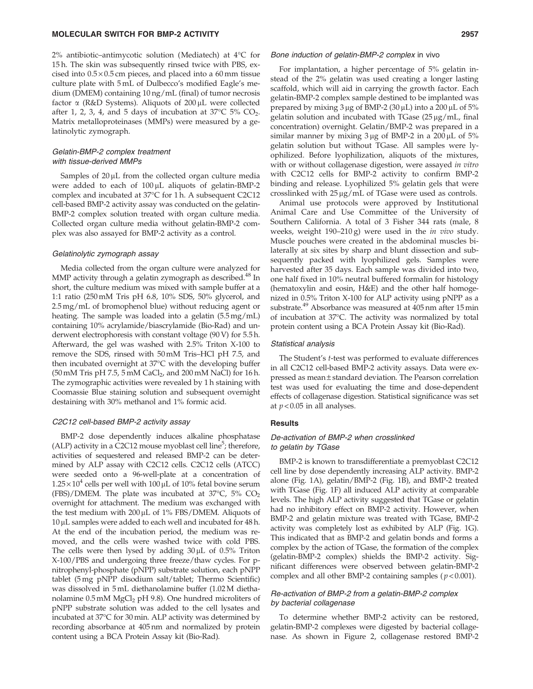2% antibiotic–antimycotic solution (Mediatech) at  $4^{\circ}$ C for 15 h. The skin was subsequently rinsed twice with PBS, excised into  $0.5 \times 0.5$  cm pieces, and placed into a 60 mm tissue culture plate with 5 mL of Dulbecco's modified Eagle's medium (DMEM) containing 10 ng/mL (final) of tumor necrosis factor  $\alpha$  (R&D Systems). Aliquots of 200 µL were collected after 1, 2, 3, 4, and 5 days of incubation at 37°C 5% CO<sub>2</sub>. Matrix metalloproteinases (MMPs) were measured by a gelatinolytic zymograph.

# Gelatin-BMP-2 complex treatment with tissue-derived MMPs

Samples of  $20 \mu L$  from the collected organ culture media were added to each of  $100 \mu$ L aliquots of gelatin-BMP-2 complex and incubated at 37°C for 1 h. A subsequent C2C12 cell-based BMP-2 activity assay was conducted on the gelatin-BMP-2 complex solution treated with organ culture media. Collected organ culture media without gelatin-BMP-2 complex was also assayed for BMP-2 activity as a control.

## Gelatinolytic zymograph assay

Media collected from the organ culture were analyzed for MMP activity through a gelatin zymograph as described.<sup>48</sup> In short, the culture medium was mixed with sample buffer at a 1:1 ratio (250 mM Tris pH 6.8, 10% SDS, 50% glycerol, and 2.5 mg/mL of bromophenol blue) without reducing agent or heating. The sample was loaded into a gelatin (5.5 mg/mL) containing 10% acrylamide/biascrylamide (Bio-Rad) and underwent electrophoresis with constant voltage (90 V) for 5.5 h. Afterward, the gel was washed with 2.5% Triton X-100 to remove the SDS, rinsed with 50 mM Tris–HCl pH 7.5, and then incubated overnight at 37°C with the developing buffer  $(50 \text{ mM Tris pH } 7.5, 5 \text{ mM }$ CaCl<sub>2</sub>, and 200 mM NaCl) for 16 h. The zymographic activities were revealed by 1 h staining with Coomassie Blue staining solution and subsequent overnight destaining with 30% methanol and 1% formic acid.

#### C2C12 cell-based BMP-2 activity assay

BMP-2 dose dependently induces alkaline phosphatase (ALP) activity in a  $\hat{C}2C12$  mouse myoblast cell line<sup>5</sup>; therefore, activities of sequestered and released BMP-2 can be determined by ALP assay with C2C12 cells. C2C12 cells (ATCC) were seeded onto a 96-well-plate at a concentration of  $1.25 \times 10^4$  cells per well with 100 µL of 10% fetal bovine serum (FBS)/DMEM. The plate was incubated at 37 $\degree$ C, 5% CO<sub>2</sub> overnight for attachment. The medium was exchanged with the test medium with  $200 \mu L$  of 1% FBS/DMEM. Aliquots of  $10 \mu$ L samples were added to each well and incubated for 48 h. At the end of the incubation period, the medium was removed, and the cells were washed twice with cold PBS. The cells were then lysed by adding  $30 \mu$ L of  $0.5\%$  Triton X-100/PBS and undergoing three freeze/thaw cycles. For pnitrophenyl-phosphate (pNPP) substrate solution, each pNPP tablet (5 mg pNPP disodium salt/tablet; Thermo Scientific) was dissolved in 5 mL diethanolamine buffer (1.02 M diethanolamine  $0.5 \text{ mM } MgCl<sub>2</sub> pH 9.8$ ). One hundred microliters of pNPP substrate solution was added to the cell lysates and incubated at 37°C for 30 min. ALP activity was determined by recording absorbance at 405 nm and normalized by protein content using a BCA Protein Assay kit (Bio-Rad).

#### Bone induction of gelatin-BMP-2 complex in vivo

For implantation, a higher percentage of 5% gelatin instead of the 2% gelatin was used creating a longer lasting scaffold, which will aid in carrying the growth factor. Each gelatin-BMP-2 complex sample destined to be implanted was prepared by mixing  $3 \mu$ g of BMP-2 ( $30 \mu$ L) into a  $200 \mu$ L of  $5\%$ gelatin solution and incubated with TGase  $(25 \mu g/mL)$ , final concentration) overnight. Gelatin/BMP-2 was prepared in a similar manner by mixing  $3 \mu$ g of BMP-2 in a 200  $\mu$ L of 5% gelatin solution but without TGase. All samples were lyophilized. Before lyophilization, aliquots of the mixtures, with or without collagenase digestion, were assayed in vitro with C2C12 cells for BMP-2 activity to confirm BMP-2 binding and release. Lyophilized 5% gelatin gels that were crosslinked with  $25 \mu g/mL$  of TGase were used as controls.

Animal use protocols were approved by Institutional Animal Care and Use Committee of the University of Southern California. A total of 3 Fisher 344 rats (male, 8 weeks, weight 190–210 g) were used in the *in vivo* study. Muscle pouches were created in the abdominal muscles bilaterally at six sites by sharp and blunt dissection and subsequently packed with lyophilized gels. Samples were harvested after 35 days. Each sample was divided into two, one half fixed in 10% neutral buffered formalin for histology (hematoxylin and eosin, H&E) and the other half homogenized in 0.5% Triton X-100 for ALP activity using pNPP as a substrate.49 Absorbance was measured at 405 nm after 15 min of incubation at 37°C. The activity was normalized by total protein content using a BCA Protein Assay kit (Bio-Rad).

#### Statistical analysis

The Student's t-test was performed to evaluate differences in all C2C12 cell-based BMP-2 activity assays. Data were expressed as mean ± standard deviation. The Pearson correlation test was used for evaluating the time and dose-dependent effects of collagenase digestion. Statistical significance was set at  $p < 0.05$  in all analyses.

#### Results

## De-activation of BMP-2 when crosslinked to gelatin by TGase

BMP-2 is known to transdifferentiate a premyoblast C2C12 cell line by dose dependently increasing ALP activity. BMP-2 alone (Fig. 1A), gelatin/BMP-2 (Fig. 1B), and BMP-2 treated with TGase (Fig. 1F) all induced ALP activity at comparable levels. The high ALP activity suggested that TGase or gelatin had no inhibitory effect on BMP-2 activity. However, when BMP-2 and gelatin mixture was treated with TGase, BMP-2 activity was completely lost as exhibited by ALP (Fig. 1G). This indicated that as BMP-2 and gelatin bonds and forms a complex by the action of TGase, the formation of the complex (gelatin-BMP-2 complex) shields the BMP-2 activity. Significant differences were observed between gelatin-BMP-2 complex and all other BMP-2 containing samples ( $p$  < 0.001).

# Re-activation of BMP-2 from a gelatin-BMP-2 complex by bacterial collagenase

To determine whether BMP-2 activity can be restored, gelatin-BMP-2 complexes were digested by bacterial collagenase. As shown in Figure 2, collagenase restored BMP-2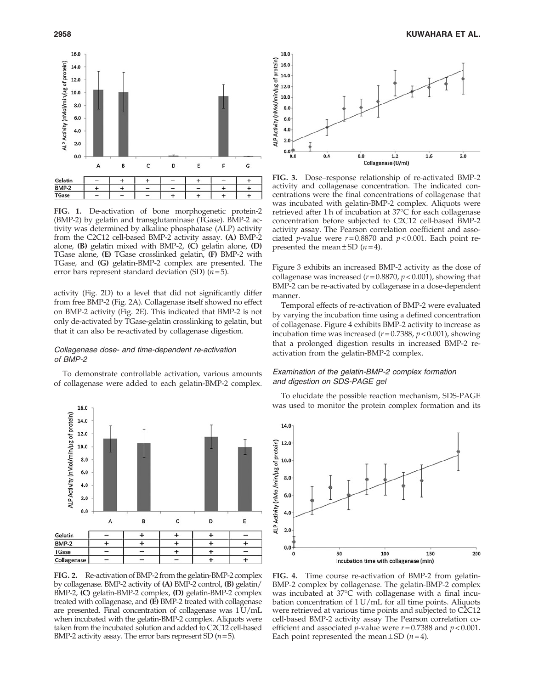

FIG. 1. De-activation of bone morphogenetic protein-2 (BMP-2) by gelatin and transglutaminase (TGase). BMP-2 activity was determined by alkaline phosphatase (ALP) activity from the C2C12 cell-based BMP-2 activity assay. (A) BMP-2 alone, (B) gelatin mixed with BMP-2, (C) gelatin alone, (D) TGase alone, (E) TGase crosslinked gelatin, (F) BMP-2 with TGase, and (G) gelatin-BMP-2 complex are presented. The error bars represent standard deviation (SD)  $(n=5)$ .

activity (Fig. 2D) to a level that did not significantly differ from free BMP-2 (Fig. 2A). Collagenase itself showed no effect on BMP-2 activity (Fig. 2E). This indicated that BMP-2 is not only de-activated by TGase-gelatin crosslinking to gelatin, but that it can also be re-activated by collagenase digestion.

# Collagenase dose- and time-dependent re-activation of BMP-2

To demonstrate controllable activation, various amounts of collagenase were added to each gelatin-BMP-2 complex.



FIG. 2. Re-activation of BMP-2 from the gelatin-BMP-2 complex by collagenase. BMP-2 activity of (A) BMP-2 control, (B) gelatin/ BMP-2, (C) gelatin-BMP-2 complex, (D) gelatin-BMP-2 complex treated with collagenase, and (E) BMP-2 treated with collagenase are presented. Final concentration of collagenase was  $1 U/mL$ when incubated with the gelatin-BMP-2 complex. Aliquots were taken from the incubated solution and added to C2C12 cell-based BMP-2 activity assay. The error bars represent SD  $(n=5)$ .



FIG. 3. Dose–response relationship of re-activated BMP-2 activity and collagenase concentration. The indicated concentrations were the final concentrations of collagenase that was incubated with gelatin-BMP-2 complex. Aliquots were retrieved after 1 h of incubation at 37°C for each collagenase concentration before subjected to C2C12 cell-based BMP-2 activity assay. The Pearson correlation coefficient and associated *p*-value were  $r = 0.8870$  and  $p < 0.001$ . Each point represented the mean  $\pm$  SD (*n* = 4).

Figure 3 exhibits an increased BMP-2 activity as the dose of collagenase was increased ( $r = 0.8870$ ,  $p < 0.001$ ), showing that BMP-2 can be re-activated by collagenase in a dose-dependent manner.

Temporal effects of re-activation of BMP-2 were evaluated by varying the incubation time using a defined concentration of collagenase. Figure 4 exhibits BMP-2 activity to increase as incubation time was increased ( $r = 0.7388$ ,  $p < 0.001$ ), showing that a prolonged digestion results in increased BMP-2 reactivation from the gelatin-BMP-2 complex.

# Examination of the gelatin-BMP-2 complex formation and digestion on SDS-PAGE gel

To elucidate the possible reaction mechanism, SDS-PAGE was used to monitor the protein complex formation and its



FIG. 4. Time course re-activation of BMP-2 from gelatin-BMP-2 complex by collagenase. The gelatin-BMP-2 complex was incubated at 37-C with collagenase with a final incubation concentration of 1 U/mL for all time points. Aliquots were retrieved at various time points and subjected to C2C12 cell-based BMP-2 activity assay The Pearson correlation coefficient and associated *p*-value were  $r = 0.7388$  and  $p < 0.001$ . Each point represented the mean  $\pm$  SD (*n* = 4).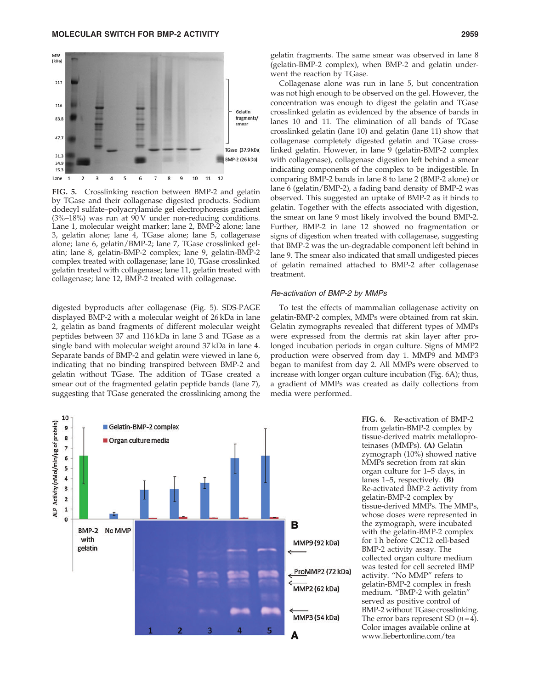

FIG. 5. Crosslinking reaction between BMP-2 and gelatin by TGase and their collagenase digested products. Sodium dodecyl sulfate–polyacrylamide gel electrophoresis gradient (3%–18%) was run at 90 V under non-reducing conditions. Lane 1, molecular weight marker; lane 2, BMP-2 alone; lane 3, gelatin alone; lane 4, TGase alone; lane 5, collagenase alone; lane 6, gelatin/BMP-2; lane 7, TGase crosslinked gelatin; lane 8, gelatin-BMP-2 complex; lane 9, gelatin-BMP-2 complex treated with collagenase; lane 10, TGase crosslinked gelatin treated with collagenase; lane 11, gelatin treated with collagenase; lane 12, BMP-2 treated with collagenase.

digested byproducts after collagenase (Fig. 5). SDS-PAGE displayed BMP-2 with a molecular weight of 26 kDa in lane 2, gelatin as band fragments of different molecular weight peptides between 37 and 116 kDa in lane 3 and TGase as a single band with molecular weight around 37 kDa in lane 4. Separate bands of BMP-2 and gelatin were viewed in lane 6, indicating that no binding transpired between BMP-2 and gelatin without TGase. The addition of TGase created a smear out of the fragmented gelatin peptide bands (lane 7), suggesting that TGase generated the crosslinking among the gelatin fragments. The same smear was observed in lane 8 (gelatin-BMP-2 complex), when BMP-2 and gelatin underwent the reaction by TGase.

Collagenase alone was run in lane 5, but concentration was not high enough to be observed on the gel. However, the concentration was enough to digest the gelatin and TGase crosslinked gelatin as evidenced by the absence of bands in lanes 10 and 11. The elimination of all bands of TGase crosslinked gelatin (lane 10) and gelatin (lane 11) show that collagenase completely digested gelatin and TGase crosslinked gelatin. However, in lane 9 (gelatin-BMP-2 complex with collagenase), collagenase digestion left behind a smear indicating components of the complex to be indigestible. In comparing BMP-2 bands in lane 8 to lane 2 (BMP-2 alone) or lane 6 (gelatin/BMP-2), a fading band density of BMP-2 was observed. This suggested an uptake of BMP-2 as it binds to gelatin. Together with the effects associated with digestion, the smear on lane 9 most likely involved the bound BMP-2. Further, BMP-2 in lane 12 showed no fragmentation or signs of digestion when treated with collagenase, suggesting that BMP-2 was the un-degradable component left behind in lane 9. The smear also indicated that small undigested pieces of gelatin remained attached to BMP-2 after collagenase treatment.

#### Re-activation of BMP-2 by MMPs

To test the effects of mammalian collagenase activity on gelatin-BMP-2 complex, MMPs were obtained from rat skin. Gelatin zymographs revealed that different types of MMPs were expressed from the dermis rat skin layer after prolonged incubation periods in organ culture. Signs of MMP2 production were observed from day 1. MMP9 and MMP3 began to manifest from day 2. All MMPs were observed to increase with longer organ culture incubation (Fig. 6A); thus, a gradient of MMPs was created as daily collections from media were performed.



FIG. 6. Re-activation of BMP-2 from gelatin-BMP-2 complex by tissue-derived matrix metalloproteinases (MMPs). (A) Gelatin zymograph (10%) showed native MMPs secretion from rat skin organ culture for 1–5 days, in lanes 1–5, respectively. (B) Re-activated BMP-2 activity from gelatin-BMP-2 complex by tissue-derived MMPs. The MMPs, whose doses were represented in the zymograph, were incubated with the gelatin-BMP-2 complex for 1 h before C2C12 cell-based BMP-2 activity assay. The collected organ culture medium was tested for cell secreted BMP activity. ''No MMP'' refers to gelatin-BMP-2 complex in fresh medium. ''BMP-2 with gelatin'' served as positive control of BMP-2 without TGase crosslinking. The error bars represent SD  $(n=4)$ . Color images available online at www.liebertonline.com/tea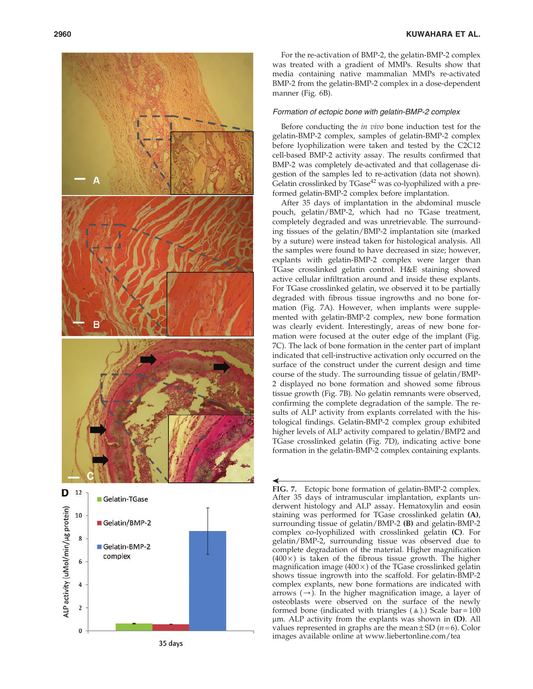

For the re-activation of BMP-2, the gelatin-BMP-2 complex was treated with a gradient of MMPs. Results show that media containing native mammalian MMPs re-activated BMP-2 from the gelatin-BMP-2 complex in a dose-dependent manner (Fig. 6B).

#### Formation of ectopic bone with gelatin-BMP-2 complex

Before conducting the in vivo bone induction test for the gelatin-BMP-2 complex, samples of gelatin-BMP-2 complex before lyophilization were taken and tested by the C2C12 cell-based BMP-2 activity assay. The results confirmed that BMP-2 was completely de-activated and that collagenase digestion of the samples led to re-activation (data not shown). Gelatin crosslinked by TGase<sup>42</sup> was co-lyophilized with a preformed gelatin-BMP-2 complex before implantation.

After 35 days of implantation in the abdominal muscle pouch, gelatin/BMP-2, which had no TGase treatment, completely degraded and was unretrievable. The surrounding tissues of the gelatin/BMP-2 implantation site (marked by a suture) were instead taken for histological analysis. All the samples were found to have decreased in size; however, explants with gelatin-BMP-2 complex were larger than TGase crosslinked gelatin control. H&E staining showed active cellular infiltration around and inside these explants. For TGase crosslinked gelatin, we observed it to be partially degraded with fibrous tissue ingrowths and no bone formation (Fig. 7A). However, when implants were supplemented with gelatin-BMP-2 complex, new bone formation was clearly evident. Interestingly, areas of new bone formation were focused at the outer edge of the implant (Fig. 7C). The lack of bone formation in the center part of implant indicated that cell-instructive activation only occurred on the surface of the construct under the current design and time course of the study. The surrounding tissue of gelatin/BMP-2 displayed no bone formation and showed some fibrous tissue growth (Fig. 7B). No gelatin remnants were observed, confirming the complete degradation of the sample. The results of ALP activity from explants correlated with the histological findings. Gelatin-BMP-2 complex group exhibited higher levels of ALP activity compared to gelatin/BMP2 and TGase crosslinked gelatin (Fig. 7D), indicating active bone formation in the gelatin-BMP-2 complex containing explants.

FIG. 7. Ectopic bone formation of gelatin-BMP-2 complex. After 35 days of intramuscular implantation, explants underwent histology and ALP assay. Hematoxylin and eosin staining was performed for TGase crosslinked gelatin (A) , surrounding tissue of gelatin/BMP-2 (B) and gelatin-BMP-2 complex co-lyophilized with crosslinked gelatin (C). For gelatin/BMP-2, surrounding tissue was observed due to complete degradation of the material. Higher magnification  $(400 \times)$  is taken of the fibrous tissue growth. The higher magnification image  $(400 \times)$  of the TGase crosslinked gelatin shows tissue ingrowth into the scaffold. For gelatin-BMP-2 complex explants, new bone formations are indicated with arrows  $(\rightarrow)$ . In the higher magnification image, a layer of osteoblasts were observed on the surface of the newly formed bone (indicated with triangles  $($   $\triangle$ ).) Scale bar = 100  $\mu$ m. ALP activity from the explants was shown in (D). All values represented in graphs are the mean  $\pm$  SD ( $n=6$ ). Color **FIG.** 7. Ectopic bone formation of gelatin-BMP-2 condervent histology and ALP assay. Hematoxylin and derivent histology and ALP assay. Hematoxylin and staining was performed for TGase crosslinked gelatin-complex co-lyop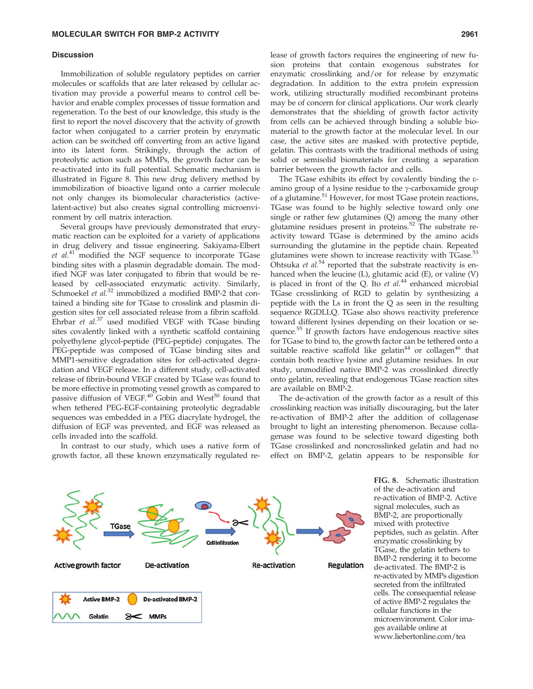#### **Discussion**

Immobilization of soluble regulatory peptides on carrier molecules or scaffolds that are later released by cellular activation may provide a powerful means to control cell behavior and enable complex processes of tissue formation and regeneration. To the best of our knowledge, this study is the first to report the novel discovery that the activity of growth factor when conjugated to a carrier protein by enzymatic action can be switched off converting from an active ligand into its latent form. Strikingly, through the action of proteolytic action such as MMPs, the growth factor can be re-activated into its full potential. Schematic mechanism is illustrated in Figure 8. This new drug delivery method by immobilization of bioactive ligand onto a carrier molecule not only changes its biomolecular characteristics (activelatent-active) but also creates signal controlling microenvironment by cell matrix interaction.

Several groups have previously demonstrated that enzymatic reaction can be exploited for a variety of applications in drug delivery and tissue engineering. Sakiyama-Elbert  $et al.<sup>41</sup>$  modified the NGF sequence to incorporate TGase binding sites with a plasmin degradable domain. The modified NGF was later conjugated to fibrin that would be released by cell-associated enzymatic activity. Similarly, Schmoekel et al.<sup>32</sup> immobilized a modified BMP-2 that contained a binding site for TGase to crosslink and plasmin digestion sites for cell associated release from a fibrin scaffold. Ehrbar et  $al^{37}$  used modified VEGF with TGase binding sites covalently linked with a synthetic scaffold containing polyethylene glycol-peptide (PEG-peptide) conjugates. The PEG-peptide was composed of TGase binding sites and MMP1-sensitive degradation sites for cell-activated degradation and VEGF release. In a different study, cell-activated release of fibrin-bound VEGF created by TGase was found to be more effective in promoting vessel growth as compared to passive diffusion of VEGF.<sup>40</sup> Gobin and West<sup>50</sup> found that when tethered PEG-EGF-containing proteolytic degradable sequences was embedded in a PEG diacrylate hydrogel, the diffusion of EGF was prevented, and EGF was released as cells invaded into the scaffold.

In contrast to our study, which uses a native form of growth factor, all these known enzymatically regulated release of growth factors requires the engineering of new fusion proteins that contain exogenous substrates for enzymatic crosslinking and/or for release by enzymatic degradation. In addition to the extra protein expression work, utilizing structurally modified recombinant proteins may be of concern for clinical applications. Our work clearly demonstrates that the shielding of growth factor activity from cells can be achieved through binding a soluble biomaterial to the growth factor at the molecular level. In our case, the active sites are masked with protective peptide, gelatin. This contrasts with the traditional methods of using solid or semisolid biomaterials for creating a separation barrier between the growth factor and cells.

The TGase exhibits its effect by covalently binding the eamino group of a lysine residue to the  $\gamma$ -carboxamide group of a glutamine.<sup>51</sup> However, for most TGase protein reactions, TGase was found to be highly selective toward only one single or rather few glutamines (Q) among the many other glutamine residues present in proteins.<sup>52</sup> The substrate reactivity toward TGase is determined by the amino acids surrounding the glutamine in the peptide chain. Repeated glutamines were shown to increase reactivity with TGase.<sup>53</sup> Ohtsuka et  $al.^{54}$  reported that the substrate reactivity is enhanced when the leucine (L), glutamic acid (E), or valine (V) is placed in front of the Q. Ito  $et$   $al.^{44}$  enhanced microbial TGase crosslinking of RGD to gelatin by synthesizing a peptide with the Ls in front the Q as seen in the resulting sequence RGDLLQ. TGase also shows reactivity preference toward different lysines depending on their location or sequence.55 If growth factors have endogenous reactive sites for TGase to bind to, the growth factor can be tethered onto a suitable reactive scaffold like gelatin<sup>44</sup> or collagen<sup>46</sup> that contain both reactive lysine and glutamine residues. In our study, unmodified native BMP-2 was crosslinked directly onto gelatin, revealing that endogenous TGase reaction sites are available on BMP-2.

The de-activation of the growth factor as a result of this crosslinking reaction was initially discouraging, but the later re-activation of BMP-2 after the addition of collagenase brought to light an interesting phenomenon. Because collagenase was found to be selective toward digesting both TGase crosslinked and noncrosslinked gelatin and had no effect on BMP-2, gelatin appears to be responsible for



FIG. 8. Schematic illustration of the de-activation and re-activation of BMP-2. Active signal molecules, such as BMP-2, are proportionally mixed with protective peptides, such as gelatin. After enzymatic crosslinking by TGase, the gelatin tethers to BMP-2 rendering it to become de-activated. The BMP-2 is re-activated by MMPs digestion secreted from the infiltrated cells. The consequential release of active BMP-2 regulates the cellular functions in the microenvironment. Color images available online at www.liebertonline.com/tea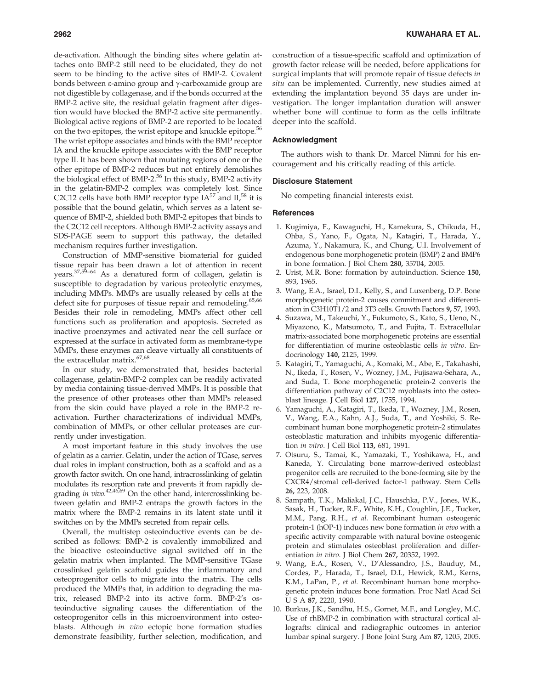de-activation. Although the binding sites where gelatin attaches onto BMP-2 still need to be elucidated, they do not seem to be binding to the active sites of BMP-2. Covalent bonds between  $\varepsilon$ -amino group and  $\gamma$ -carboxamide group are not digestible by collagenase, and if the bonds occurred at the BMP-2 active site, the residual gelatin fragment after digestion would have blocked the BMP-2 active site permanently. Biological active regions of BMP-2 are reported to be located on the two epitopes, the wrist epitope and knuckle epitope.<sup>56</sup> The wrist epitope associates and binds with the BMP receptor IA and the knuckle epitope associates with the BMP receptor type II. It has been shown that mutating regions of one or the other epitope of BMP-2 reduces but not entirely demolishes the biological effect of BMP-2.<sup>56</sup> In this study, BMP-2 activity in the gelatin-BMP-2 complex was completely lost. Since C2C12 cells have both BMP receptor type  $IA^{57}$  and  $II^{58}$  it is possible that the bound gelatin, which serves as a latent sequence of BMP-2, shielded both BMP-2 epitopes that binds to the C2C12 cell receptors. Although BMP-2 activity assays and SDS-PAGE seem to support this pathway, the detailed mechanism requires further investigation.

Construction of MMP-sensitive biomaterial for guided tissue repair has been drawn a lot of attention in recent years.37,59–64 As a denatured form of collagen, gelatin is susceptible to degradation by various proteolytic enzymes, including MMPs. MMPs are usually released by cells at the defect site for purposes of tissue repair and remodeling.<sup>65,66</sup> Besides their role in remodeling, MMPs affect other cell functions such as proliferation and apoptosis. Secreted as inactive proenzymes and activated near the cell surface or expressed at the surface in activated form as membrane-type MMPs, these enzymes can cleave virtually all constituents of the extracellular matrix.<sup>67,68</sup>

In our study, we demonstrated that, besides bacterial collagenase, gelatin-BMP-2 complex can be readily activated by media containing tissue-derived MMPs. It is possible that the presence of other proteases other than MMPs released from the skin could have played a role in the BMP-2 reactivation. Further characterizations of individual MMPs, combination of MMPs, or other cellular proteases are currently under investigation.

A most important feature in this study involves the use of gelatin as a carrier. Gelatin, under the action of TGase, serves dual roles in implant construction, both as a scaffold and as a growth factor switch. On one hand, intracrosslinking of gelatin modulates its resorption rate and prevents it from rapidly degrading *in vivo*.<sup>42,46,69</sup> On the other hand, intercrosslinking between gelatin and BMP-2 entraps the growth factors in the matrix where the BMP-2 remains in its latent state until it switches on by the MMPs secreted from repair cells.

Overall, the multistep osteoinductive events can be described as follows: BMP-2 is covalently immobilized and the bioactive osteoinductive signal switched off in the gelatin matrix when implanted. The MMP-sensitive TGase crosslinked gelatin scaffold guides the inflammatory and osteoprogenitor cells to migrate into the matrix. The cells produced the MMPs that, in addition to degrading the matrix, released BMP-2 into its active form. BMP-2's osteoinductive signaling causes the differentiation of the osteoprogenitor cells in this microenvironment into osteoblasts. Although in vivo ectopic bone formation studies demonstrate feasibility, further selection, modification, and

construction of a tissue-specific scaffold and optimization of growth factor release will be needed, before applications for surgical implants that will promote repair of tissue defects in situ can be implemented. Currently, new studies aimed at extending the implantation beyond 35 days are under investigation. The longer implantation duration will answer whether bone will continue to form as the cells infiltrate deeper into the scaffold.

#### Acknowledgment

The authors wish to thank Dr. Marcel Nimni for his encouragement and his critically reading of this article.

# Disclosure Statement

No competing financial interests exist.

#### **References**

- 1. Kugimiya, F., Kawaguchi, H., Kamekura, S., Chikuda, H., Ohba, S., Yano, F., Ogata, N., Katagiri, T., Harada, Y., Azuma, Y., Nakamura, K., and Chung, U.I. Involvement of endogenous bone morphogenetic protein (BMP) 2 and BMP6 in bone formation. J Biol Chem 280, 35704, 2005.
- 2. Urist, M.R. Bone: formation by autoinduction. Science 150, 893, 1965.
- 3. Wang, E.A., Israel, D.I., Kelly, S., and Luxenberg, D.P. Bone morphogenetic protein-2 causes commitment and differentiation in C3H10T1/2 and 3T3 cells. Growth Factors 9, 57, 1993.
- 4. Suzawa, M., Takeuchi, Y., Fukumoto, S., Kato, S., Ueno, N., Miyazono, K., Matsumoto, T., and Fujita, T. Extracellular matrix-associated bone morphogenetic proteins are essential for differentiation of murine osteoblastic cells in vitro. Endocrinology 140, 2125, 1999.
- 5. Katagiri, T., Yamaguchi, A., Komaki, M., Abe, E., Takahashi, N., Ikeda, T., Rosen, V., Wozney, J.M., Fujisawa-Sehara, A., and Suda, T. Bone morphogenetic protein-2 converts the differentiation pathway of C2C12 myoblasts into the osteoblast lineage. J Cell Biol 127, 1755, 1994.
- 6. Yamaguchi, A., Katagiri, T., Ikeda, T., Wozney, J.M., Rosen, V., Wang, E.A., Kahn, A.J., Suda, T., and Yoshiki, S. Recombinant human bone morphogenetic protein-2 stimulates osteoblastic maturation and inhibits myogenic differentiation in vitro. J Cell Biol 113, 681, 1991.
- 7. Otsuru, S., Tamai, K., Yamazaki, T., Yoshikawa, H., and Kaneda, Y. Circulating bone marrow-derived osteoblast progenitor cells are recruited to the bone-forming site by the CXCR4/stromal cell-derived factor-1 pathway. Stem Cells 26, 223, 2008.
- 8. Sampath, T.K., Maliakal, J.C., Hauschka, P.V., Jones, W.K., Sasak, H., Tucker, R.F., White, K.H., Coughlin, J.E., Tucker, M.M., Pang, R.H., et al. Recombinant human osteogenic protein-1 (hOP-1) induces new bone formation in vivo with a specific activity comparable with natural bovine osteogenic protein and stimulates osteoblast proliferation and differentiation in vitro. J Biol Chem 267, 20352, 1992.
- 9. Wang, E.A., Rosen, V., D'Alessandro, J.S., Bauduy, M., Cordes, P., Harada, T., Israel, D.I., Hewick, R.M., Kerns, K.M., LaPan, P., et al. Recombinant human bone morphogenetic protein induces bone formation. Proc Natl Acad Sci USA 87, 2220, 1990.
- 10. Burkus, J.K., Sandhu, H.S., Gornet, M.F., and Longley, M.C. Use of rhBMP-2 in combination with structural cortical allografts: clinical and radiographic outcomes in anterior lumbar spinal surgery. J Bone Joint Surg Am 87, 1205, 2005.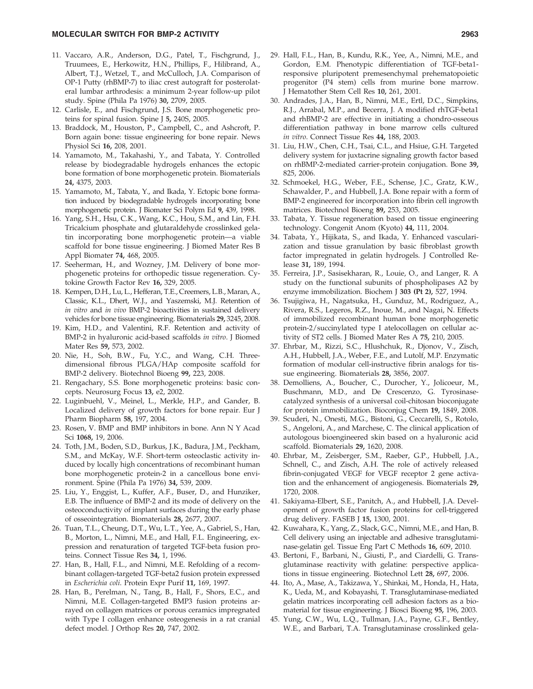#### MOLECULAR SWITCH FOR BMP-2 ACTIVITY 2963

- 11. Vaccaro, A.R., Anderson, D.G., Patel, T., Fischgrund, J., Truumees, E., Herkowitz, H.N., Phillips, F., Hilibrand, A., Albert, T.J., Wetzel, T., and McCulloch, J.A. Comparison of OP-1 Putty (rhBMP-7) to iliac crest autograft for posterolateral lumbar arthrodesis: a minimum 2-year follow-up pilot study. Spine (Phila Pa 1976) 30, 2709, 2005.
- 12. Carlisle, E., and Fischgrund, J.S. Bone morphogenetic proteins for spinal fusion. Spine J 5, 240S, 2005.
- 13. Braddock, M., Houston, P., Campbell, C., and Ashcroft, P. Born again bone: tissue engineering for bone repair. News Physiol Sci 16, 208, 2001.
- 14. Yamamoto, M., Takahashi, Y., and Tabata, Y. Controlled release by biodegradable hydrogels enhances the ectopic bone formation of bone morphogenetic protein. Biomaterials 24, 4375, 2003.
- 15. Yamamoto, M., Tabata, Y., and Ikada, Y. Ectopic bone formation induced by biodegradable hydrogels incorporating bone morphogenetic protein. J Biomater Sci Polym Ed 9, 439, 1998.
- 16. Yang, S.H., Hsu, C.K., Wang, K.C., Hou, S.M., and Lin, F.H. Tricalcium phosphate and glutaraldehyde crosslinked gelatin incorporating bone morphogenetic protein—a viable scaffold for bone tissue engineering. J Biomed Mater Res B Appl Biomater 74, 468, 2005.
- 17. Seeherman, H., and Wozney, J.M. Delivery of bone morphogenetic proteins for orthopedic tissue regeneration. Cytokine Growth Factor Rev 16, 329, 2005.
- 18. Kempen, D.H., Lu, L., Hefferan, T.E., Creemers, L.B., Maran, A., Classic, K.L., Dhert, W.J., and Yaszemski, M.J. Retention of in vitro and in vivo BMP-2 bioactivities in sustained delivery vehicles for bone tissue engineering. Biomaterials 29, 3245, 2008.
- 19. Kim, H.D., and Valentini, R.F. Retention and activity of BMP-2 in hyaluronic acid-based scaffolds in vitro. J Biomed Mater Res 59, 573, 2002.
- 20. Nie, H., Soh, B.W., Fu, Y.C., and Wang, C.H. Threedimensional fibrous PLGA/HAp composite scaffold for BMP-2 delivery. Biotechnol Bioeng 99, 223, 2008.
- 21. Rengachary, S.S. Bone morphogenetic proteins: basic concepts. Neurosurg Focus 13, e2, 2002.
- 22. Luginbuehl, V., Meinel, L., Merkle, H.P., and Gander, B. Localized delivery of growth factors for bone repair. Eur J Pharm Biopharm 58, 197, 2004.
- 23. Rosen, V. BMP and BMP inhibitors in bone. Ann N Y Acad Sci 1068, 19, 2006.
- 24. Toth, J.M., Boden, S.D., Burkus, J.K., Badura, J.M., Peckham, S.M., and McKay, W.F. Short-term osteoclastic activity induced by locally high concentrations of recombinant human bone morphogenetic protein-2 in a cancellous bone environment. Spine (Phila Pa 1976) 34, 539, 2009.
- 25. Liu, Y., Enggist, L., Kuffer, A.F., Buser, D., and Hunziker, E.B. The influence of BMP-2 and its mode of delivery on the osteoconductivity of implant surfaces during the early phase of osseointegration. Biomaterials 28, 2677, 2007.
- 26. Tuan, T.L., Cheung, D.T., Wu, L.T., Yee, A., Gabriel, S., Han, B., Morton, L., Nimni, M.E., and Hall, F.L. Engineering, expression and renaturation of targeted TGF-beta fusion proteins. Connect Tissue Res 34, 1, 1996.
- 27. Han, B., Hall, F.L., and Nimni, M.E. Refolding of a recombinant collagen-targeted TGF-beta2 fusion protein expressed in Escherichia coli. Protein Expr Purif 11, 169, 1997.
- 28. Han, B., Perelman, N., Tang, B., Hall, F., Shors, E.C., and Nimni, M.E. Collagen-targeted BMP3 fusion proteins arrayed on collagen matrices or porous ceramics impregnated with Type I collagen enhance osteogenesis in a rat cranial defect model. J Orthop Res 20, 747, 2002.
- 29. Hall, F.L., Han, B., Kundu, R.K., Yee, A., Nimni, M.E., and Gordon, E.M. Phenotypic differentiation of TGF-beta1 responsive pluripotent premesenchymal prehematopoietic progenitor (P4 stem) cells from murine bone marrow. J Hematother Stem Cell Res 10, 261, 2001.
- 30. Andrades, J.A., Han, B., Nimni, M.E., Ertl, D.C., Simpkins, R.J., Arrabal, M.P., and Becerra, J. A modified rhTGF-beta1 and rhBMP-2 are effective in initiating a chondro-osseous differentiation pathway in bone marrow cells cultured in vitro. Connect Tissue Res 44, 188, 2003.
- 31. Liu, H.W., Chen, C.H., Tsai, C.L., and Hsiue, G.H. Targeted delivery system for juxtacrine signaling growth factor based on rhBMP-2-mediated carrier-protein conjugation. Bone 39, 825, 2006.
- 32. Schmoekel, H.G., Weber, F.E., Schense, J.C., Gratz, K.W., Schawalder, P., and Hubbell, J.A. Bone repair with a form of BMP-2 engineered for incorporation into fibrin cell ingrowth matrices. Biotechnol Bioeng 89, 253, 2005.
- 33. Tabata, Y. Tissue regeneration based on tissue engineering technology. Congenit Anom (Kyoto) 44, 111, 2004.
- 34. Tabata, Y., Hijikata, S., and Ikada, Y. Enhanced vascularization and tissue granulation by basic fibroblast growth factor impregnated in gelatin hydrogels. J Controlled Release 31, 189, 1994.
- 35. Ferreira, J.P., Sasisekharan, R., Louie, O., and Langer, R. A study on the functional subunits of phospholipases A2 by enzyme immobilization. Biochem J 303 (Pt 2), 527, 1994.
- 36. Tsujigiwa, H., Nagatsuka, H., Gunduz, M., Rodriguez, A., Rivera, R.S., Legeros, R.Z., Inoue, M., and Nagai, N. Effects of immobilized recombinant human bone morphogenetic protein-2/succinylated type I atelocollagen on cellular activity of ST2 cells. J Biomed Mater Res A 75, 210, 2005.
- 37. Ehrbar, M., Rizzi, S.C., Hlushchuk, R., Djonov, V., Zisch, A.H., Hubbell, J.A., Weber, F.E., and Lutolf, M.P. Enzymatic formation of modular cell-instructive fibrin analogs for tissue engineering. Biomaterials 28, 3856, 2007.
- 38. Demolliens, A., Boucher, C., Durocher, Y., Jolicoeur, M., Buschmann, M.D., and De Crescenzo, G. Tyrosinasecatalyzed synthesis of a universal coil-chitosan bioconjugate for protein immobilization. Bioconjug Chem 19, 1849, 2008.
- 39. Scuderi, N., Onesti, M.G., Bistoni, G., Ceccarelli, S., Rotolo, S., Angeloni, A., and Marchese, C. The clinical application of autologous bioengineered skin based on a hyaluronic acid scaffold. Biomaterials 29, 1620, 2008.
- 40. Ehrbar, M., Zeisberger, S.M., Raeber, G.P., Hubbell, J.A., Schnell, C., and Zisch, A.H. The role of actively released fibrin-conjugated VEGF for VEGF receptor 2 gene activation and the enhancement of angiogenesis. Biomaterials 29, 1720, 2008.
- 41. Sakiyama-Elbert, S.E., Panitch, A., and Hubbell, J.A. Development of growth factor fusion proteins for cell-triggered drug delivery. FASEB J 15, 1300, 2001.
- 42. Kuwahara, K., Yang, Z., Slack, G.C., Nimni, M.E., and Han, B. Cell delivery using an injectable and adhesive transglutaminase-gelatin gel. Tissue Eng Part C Methods 16, 609, 2010.
- 43. Bertoni, F., Barbani, N., Giusti, P., and Ciardelli, G. Transglutaminase reactivity with gelatine: perspective applications in tissue engineering. Biotechnol Lett 28, 697, 2006.
- 44. Ito, A., Mase, A., Takizawa, Y., Shinkai, M., Honda, H., Hata, K., Ueda, M., and Kobayashi, T. Transglutaminase-mediated gelatin matrices incorporating cell adhesion factors as a biomaterial for tissue engineering. J Biosci Bioeng 95, 196, 2003.
- 45. Yung, C.W., Wu, L.Q., Tullman, J.A., Payne, G.F., Bentley, W.E., and Barbari, T.A. Transglutaminase crosslinked gela-